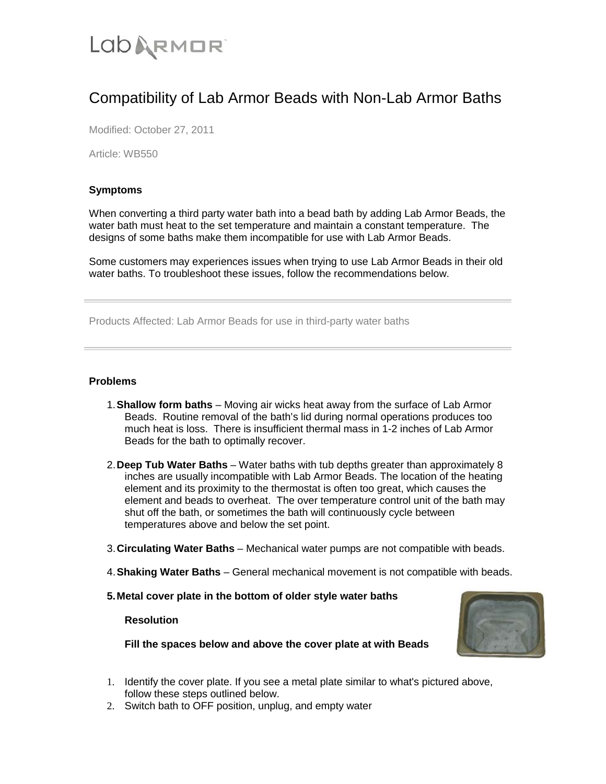# **LODARMOR**

# Compatibility of Lab Armor Beads with Non-Lab Armor Baths

Modified: October 27, 2011

Article: WB550

# **Symptoms**

When converting a third party water bath into a bead bath by adding Lab Armor Beads, the water bath must heat to the set temperature and maintain a constant temperature. The designs of some baths make them incompatible for use with Lab Armor Beads.

Some customers may experiences issues when trying to use Lab Armor Beads in their old water baths. To troubleshoot these issues, follow the recommendations below.

Products Affected: Lab Armor Beads for use in third-party water baths

## **Problems**

- 1.**Shallow form baths**  Moving air wicks heat away from the surface of Lab Armor Beads. Routine removal of the bath's lid during normal operations produces too much heat is loss. There is insufficient thermal mass in 1-2 inches of Lab Armor Beads for the bath to optimally recover.
- 2.**Deep Tub Water Baths**  Water baths with tub depths greater than approximately 8 inches are usually incompatible with Lab Armor Beads. The location of the heating element and its proximity to the thermostat is often too great, which causes the element and beads to overheat. The over temperature control unit of the bath may shut off the bath, or sometimes the bath will continuously cycle between temperatures above and below the set point.
- 3.**Circulating Water Baths**  Mechanical water pumps are not compatible with beads.
- 4.**Shaking Water Baths**  General mechanical movement is not compatible with beads.
- **5.Metal cover plate in the bottom of older style water baths**

#### **Resolution**

**Fill the spaces below and above the cover plate at with Beads**



- 1. Identify the cover plate. If you see a metal plate similar to what's pictured above, follow these steps outlined below.
- 2. Switch bath to OFF position, unplug, and empty water